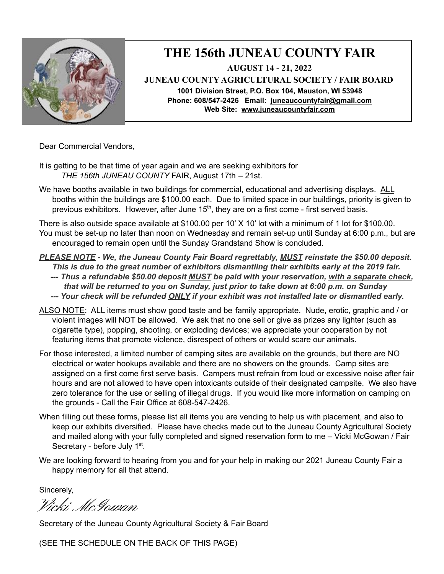

## **THE 156th JUNEAU COUNTY FAIR AUGUST 14 - 21, 2022**

**JUNEAU COUNTY AGRICULTURAL SOCIETY / FAIR BOARD 1001 Division Street, P.O. Box 104, Mauston, WI 53948 Phone: 608/547-2426 Email: [juneaucountyfair@gmail.com](mailto:juneaucountyfair@gmail.com) Web Site: [www.juneaucountyf](http://www.juneaucounty/)air.com**

Dear Commercial Vendors,

- It is getting to be that time of year again and we are seeking exhibitors for *THE 156th JUNEAU COUNTY* FAIR, August 17th – 21st.
- We have booths available in two buildings for commercial, educational and advertising displays. ALL booths within the buildings are \$100.00 each. Due to limited space in our buildings, priority is given to previous exhibitors. However, after June 15<sup>th</sup>, they are on a first come - first served basis.

There is also outside space available at \$100.00 per 10' X 10' lot with a minimum of 1 lot for \$100.00. You must be set-up no later than noon on Wednesday and remain set-up until Sunday at 6:00 p.m., but are encouraged to remain open until the Sunday Grandstand Show is concluded.

- *PLEASE NOTE - We, the Juneau County Fair Board regrettably, MUST reinstate the \$50.00 deposit. This is due to the great number of exhibitors dismantling their exhibits early at the 2019 fair.*
	- *--- Thus a refundable \$50.00 deposit MUST be paid with your reservation, with a separate check, that will be returned to you on Sunday, just prior to take down at 6:00 p.m. on Sunday --- Your check will be refunded ONLY if your exhibit was not installed late or dismantled early.*
- ALSO NOTE: ALL items must show good taste and be family appropriate. Nude, erotic, graphic and / or violent images will NOT be allowed. We ask that no one sell or give as prizes any lighter (such as cigarette type), popping, shooting, or exploding devices; we appreciate your cooperation by not featuring items that promote violence, disrespect of others or would scare our animals.
- For those interested, a limited number of camping sites are available on the grounds, but there are NO electrical or water hookups available and there are no showers on the grounds. Camp sites are assigned on a first come first serve basis. Campers must refrain from loud or excessive noise after fair hours and are not allowed to have open intoxicants outside of their designated campsite. We also have zero tolerance for the use or selling of illegal drugs. If you would like more information on camping on the grounds - Call the Fair Office at 608-547-2426.
- When filling out these forms, please list all items you are vending to help us with placement, and also to keep our exhibits diversified. Please have checks made out to the Juneau County Agricultural Society and mailed along with your fully completed and signed reservation form to me – Vicki McGowan / Fair Secretary - before July 1<sup>st</sup>.
- We are looking forward to hearing from you and for your help in making our 2021 Juneau County Fair a happy memory for all that attend.

Sincerely,

Vicki McGowan

Secretary of the Juneau County Agricultural Society & Fair Board

(SEE THE SCHEDULE ON THE BACK OF THIS PAGE)